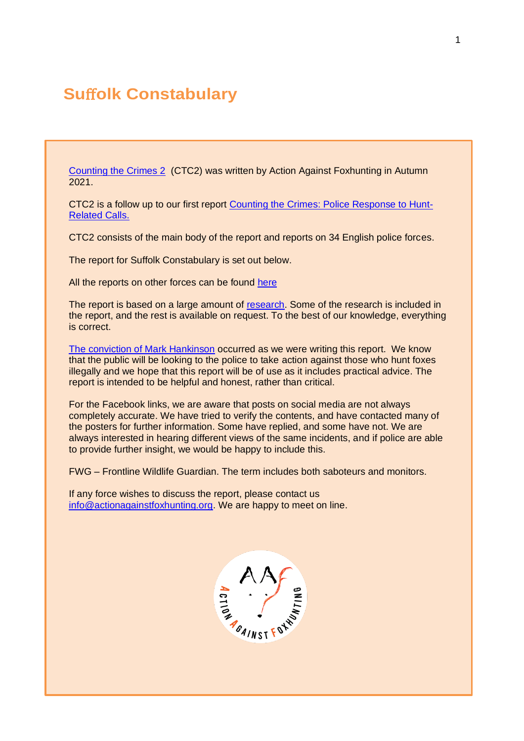# **Su**ff**olk Constabulary**

[Counting the Crimes 2](https://www.actionagainstfoxhunting.org/counting-the-crimes2-the-police-response/) (CTC2) was written by Action Against Foxhunting in Autumn 2021.

CTC2 is a follow up to our first report [Counting the Crimes: Police Response to Hunt-](https://www.actionagainstfoxhunting.org/counting-the-crimes/)[Related Calls.](https://www.actionagainstfoxhunting.org/counting-the-crimes/)

CTC2 consists of the main body of the report and reports on 34 English police forces.

The report for Suffolk Constabulary is set out below.

All the reports on other forces can be found [here](https://www.actionagainstfoxhunting.org/counting-the-crimes2-the-police-response/)

The report is based on a large amount of [research.](https://www.actionagainstfoxhunting.org/wp-content/uploads/2021/11/A-1411-Research-for-CTC2.pdf) Some of the research is included in the report, and the rest is available on request. To the best of our knowledge, everything is correct.

[The conviction of Mark Hankinson](https://www.league.org.uk/news-and-resources/news/hunting-office-webinars-the-road-to-conviction/) occurred as we were writing this report. We know that the public will be looking to the police to take action against those who hunt foxes illegally and we hope that this report will be of use as it includes practical advice. The report is intended to be helpful and honest, rather than critical.

For the Facebook links, we are aware that posts on social media are not always completely accurate. We have tried to verify the contents, and have contacted many of the posters for further information. Some have replied, and some have not. We are always interested in hearing different views of the same incidents, and if police are able to provide further insight, we would be happy to include this.

FWG – Frontline Wildlife Guardian. The term includes both saboteurs and monitors.

If any force wishes to discuss the report, please contact us [info@actionagainstfoxhunting.org.](mailto:info@actionagainstfoxhunting.org) We are happy to meet on line.

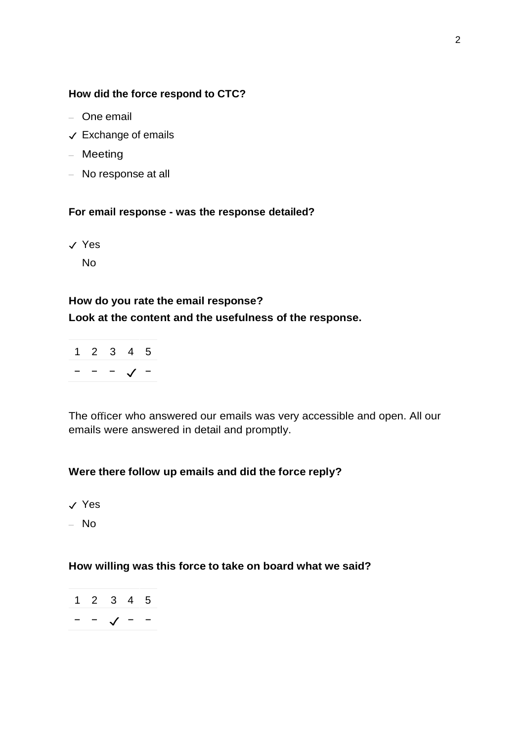#### **How did the force respond to CTC?**

- One email
- ✓ Exchange of emails
- Meeting
- No response at all

### **For email response - was the response detailed?**

✓ Yes

No

#### **How do you rate the email response?**

#### **Look at the content and the usefulness of the response.**

|  | $2 \times 3$ | 45 |  |
|--|--------------|----|--|
|  |              |    |  |

The officer who answered our emails was very accessible and open. All our emails were answered in detail and promptly.

### **Were there follow up emails and did the force reply?**

- ✓ Yes
- No

#### **How willing was this force to take on board what we said?**

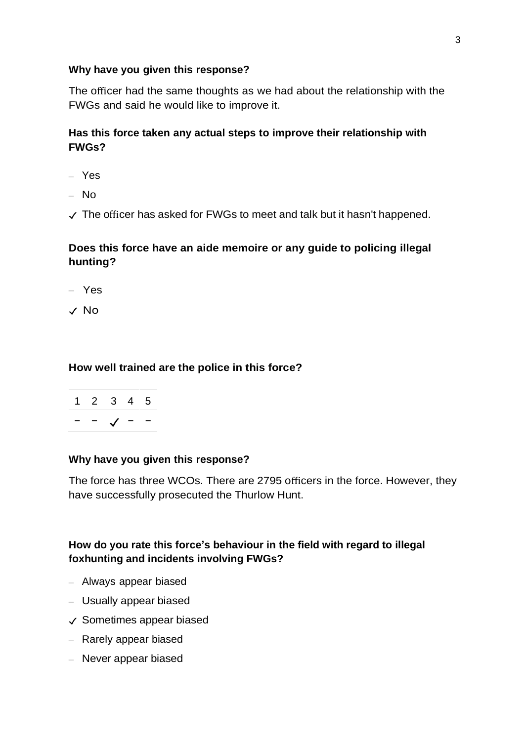## **Why have you given this response?**

The officer had the same thoughts as we had about the relationship with the FWGs and said he would like to improve it.

## **Has this force taken any actual steps to improve their relationship with FWGs?**

- Yes
- No
- ✓ The officer has asked for FWGs to meet and talk but it hasn't happened.

## **Does this force have an aide memoire or any guide to policing illegal hunting?**

- Yes
- ✓ No

## **How well trained are the police in this force?**

$$
\begin{array}{c|cccc}\n1 & 2 & 3 & 4 & 5 \\
\hline\n- & - & \sqrt{ & - & -}\n\end{array}
$$

### **Why have you given this response?**

The force has three WCOs. There are 2795 officers in the force. However, they have successfully prosecuted the Thurlow Hunt.

## **How do you rate this force's behaviour in the field with regard to illegal foxhunting and incidents involving FWGs?**

- Always appear biased
- Usually appear biased
- ✓ Sometimes appear biased
- Rarely appear biased
- Never appear biased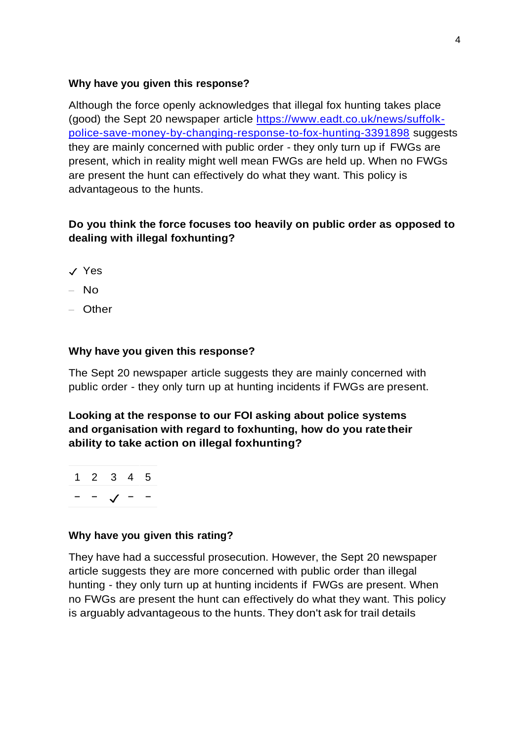## **Why have you given this response?**

Although the force openly acknowledges that illegal fox hunting takes place (good) the Sept 20 newspaper article [https://www.eadt.co.uk/news/suffolk](https://www.eadt.co.uk/news/suffolk-police-save-money-by-changing-response-to-fox-hunting-3391898)[police-save-money-by-changing-response-to-fox-hunting-3391898](https://www.eadt.co.uk/news/suffolk-police-save-money-by-changing-response-to-fox-hunting-3391898) suggests they are mainly concerned with public order - they only turn up if FWGs are present, which in reality might well mean FWGs are held up. When no FWGs are present the hunt can effectively do what they want. This policy is advantageous to the hunts.

## **Do you think the force focuses too heavily on public order as opposed to dealing with illegal foxhunting?**

- ✓ Yes
- $-$  No
- Other

## **Why have you given this response?**

The Sept 20 newspaper article suggests they are mainly concerned with public order - they only turn up at hunting incidents if FWGs are present.

**Looking at the response to our FOI asking about police systems and organisation with regard to foxhunting, how do you rate their ability to take action on illegal foxhunting?**



## **Why have you given this rating?**

They have had a successful prosecution. However, the Sept 20 newspaper article suggests they are more concerned with public order than illegal hunting - they only turn up at hunting incidents if FWGs are present. When no FWGs are present the hunt can effectively do what they want. This policy is arguably advantageous to the hunts. They don't ask for trail details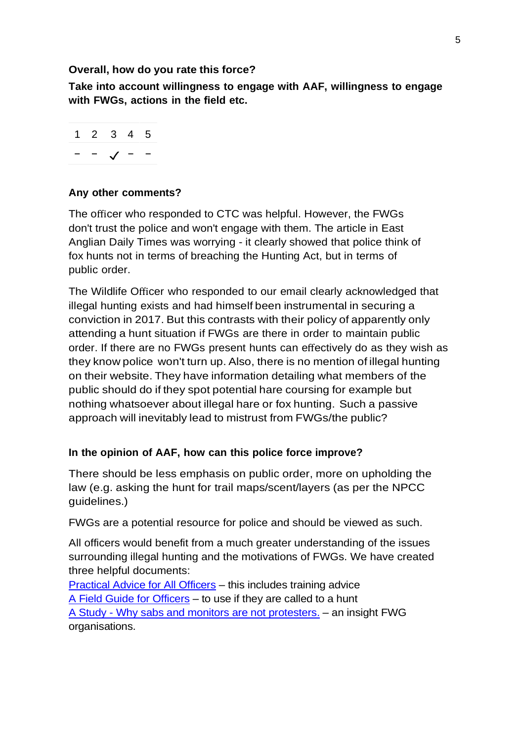### **Overall, how do you rate this force?**

**Take into account willingness to engage with AAF, willingness to engage with FWGs, actions in the field etc.**

$$
\begin{array}{c|cccc}\n1 & 2 & 3 & 4 & 5 \\
\hline\n- & - & \sqrt{ - & -}\n\end{array}
$$

## **Any other comments?**

The officer who responded to CTC was helpful. However, the FWGs don't trust the police and won't engage with them. The article in East Anglian Daily Times was worrying - it clearly showed that police think of fox hunts not in terms of breaching the Hunting Act, but in terms of public order.

The Wildlife Officer who responded to our email clearly acknowledged that illegal hunting exists and had himself been instrumental in securing a conviction in 2017. But this contrasts with their policy of apparently only attending a hunt situation if FWGs are there in order to maintain public order. If there are no FWGs present hunts can effectively do as they wish as they know police won't turn up. Also, there is no mention of illegal hunting on their website. They have information detailing what members of the public should do if they spot potential hare coursing for example but nothing whatsoever about illegal hare or fox hunting. Such a passive approach will inevitably lead to mistrust from FWGs/the public?

### **In the opinion of AAF, how can this police force improve?**

There should be less emphasis on public order, more on upholding the law (e.g. asking the hunt for trail maps/scent/layers (as per the NPCC guidelines.)

FWGs are a potential resource for police and should be viewed as such.

All officers would benefit from a much greater understanding of the issues surrounding illegal hunting and the motivations of FWGs. We have created three helpful documents:

[Practical Advice for All Officers](https://www.actionagainstfoxhunting.org/wp-content/uploads/2021/11/B-1411-Practical-Advice-for-all-Police-Forces.pdf) – this includes training advice [A Field Guide for Officers](https://www.actionagainstfoxhunting.org/wp-content/uploads/2021/11/A-1411-FIELD-GUIDE-ILLEGAL-FOXHUNTING.pdf) – to use if they are called to a hunt A Study - [Why sabs and monitors are not protesters.](https://www.actionagainstfoxhunting.org/wp-content/uploads/2021/11/A-1411-Why-sabs-and-monitors-arent-protesters.pdf) – an insight FWG organisations.